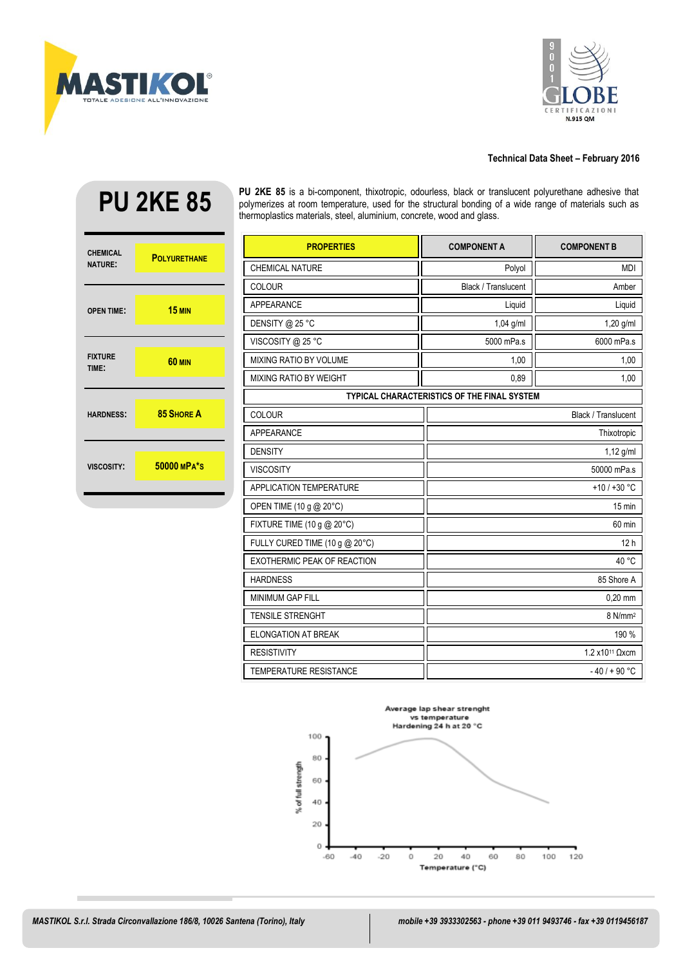



## **Technical Data Sheet – February 2016**

# **PU 2KE 85**



**PU 2KE 85** is a bi-component, thixotropic, odourless, black or translucent polyurethane adhesive that polymerizes at room temperature, used for the structural bonding of a wide range of materials such as thermoplastics materials, steel, aluminium, concrete, wood and glass.

| <b>PROPERTIES</b>                                  | <b>COMPONENT A</b>         | <b>COMPONENT B</b>         |
|----------------------------------------------------|----------------------------|----------------------------|
| <b>CHEMICAL NATURE</b>                             | Polyol                     | <b>MDI</b>                 |
| COLOUR                                             | Black / Translucent        | Amber                      |
| APPEARANCE                                         | Liquid                     | Liquid                     |
| DENSITY @ 25 °C                                    | 1,04 g/ml                  | $1,20$ g/ml                |
| VISCOSITY @ 25 °C                                  | 5000 mPa.s                 | 6000 mPa.s                 |
| <b>MIXING RATIO BY VOLUME</b>                      | 1,00                       | 1,00                       |
| <b>MIXING RATIO BY WEIGHT</b>                      | 0,89                       | 1,00                       |
| <b>TYPICAL CHARACTERISTICS OF THE FINAL SYSTEM</b> |                            |                            |
| <b>COLOUR</b>                                      |                            | <b>Black / Translucent</b> |
| <b>APPEARANCE</b>                                  | Thixotropic                |                            |
| <b>DENSITY</b>                                     | 1,12 g/ml                  |                            |
| <b>VISCOSITY</b>                                   | 50000 mPa.s                |                            |
| <b>APPLICATION TEMPERATURE</b>                     | $+10/+30 °C$               |                            |
| OPEN TIME (10 g @ 20°C)                            | $15 \text{ min}$           |                            |
| FIXTURE TIME (10 g @ 20°C)                         | 60 min                     |                            |
| FULLY CURED TIME (10 g @ 20°C)                     |                            | 12h                        |
| EXOTHERMIC PEAK OF REACTION                        |                            | 40 °C                      |
| <b>HARDNESS</b>                                    | 85 Shore A                 |                            |
| <b>MINIMUM GAP FILL</b>                            | $0,20$ mm                  |                            |
| <b>TENSILE STRENGHT</b>                            | 8 N/mm <sup>2</sup>        |                            |
| <b>ELONGATION AT BREAK</b>                         | 190 %                      |                            |
| <b>RESISTIVITY</b>                                 | 1.2 x10 <sup>11</sup> Ωxcm |                            |
| <b>TEMPERATURE RESISTANCE</b>                      |                            | $-40/ + 90 °C$             |

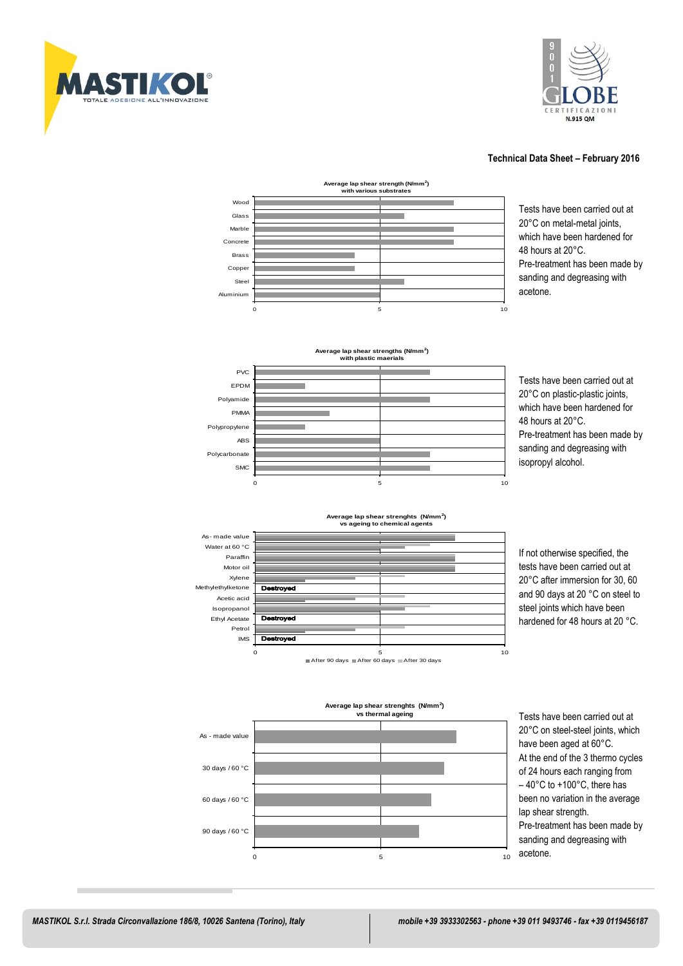



## **Technical Data Sheet – February 2016**



 Tests have been carried out at 20°C on metal-metal joints, which have been hardened for 48 hours at 20°C. Pre-treatment has been made by





 Tests have been carried out at 20°C on plastic-plastic joints, which have been hardened for 48 hours at 20°C. Pre-treatment has been made by sanding and degreasing with isopropyl alcohol.



0 5 10 After 90 days After 60 days After 30 days

**Average lap shear strenghts (N/mm<sup>2</sup> )**

## If not otherwise specified, the tests have been carried out at and 90 days at 20 °C on steel to steel joints which have been **hardened for 48 hours at 20 °C.**



 Tests have been carried out at 20°C on steel-steel joints, which have been aged at 60°C. At the end of the 3 thermo cycles of 24 hours each ranging from – 40°C to +100°C, there has been no variation in the average lap shear strength. Pre-treatment has been made by sanding and degreasing with

IMS

 $\overline{\overline{\phantom{m}}}$ **stroved** 

Petrol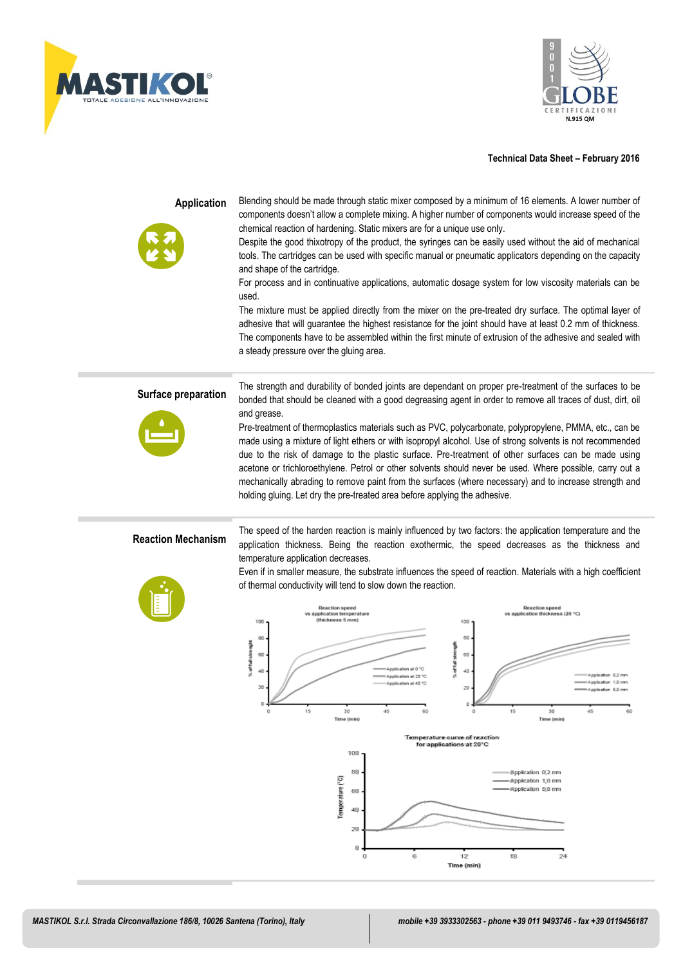



## **Technical Data Sheet – February 2016**

| <b>Application</b>        | Blending should be made through static mixer composed by a minimum of 16 elements. A lower number of<br>components doesn't allow a complete mixing. A higher number of components would increase speed of the<br>chemical reaction of hardening. Static mixers are for a unique use only.<br>Despite the good thixotropy of the product, the syringes can be easily used without the aid of mechanical<br>tools. The cartridges can be used with specific manual or pneumatic applicators depending on the capacity<br>and shape of the cartridge.<br>For process and in continuative applications, automatic dosage system for low viscosity materials can be<br>used.<br>The mixture must be applied directly from the mixer on the pre-treated dry surface. The optimal layer of<br>adhesive that will guarantee the highest resistance for the joint should have at least 0.2 mm of thickness.<br>The components have to be assembled within the first minute of extrusion of the adhesive and sealed with<br>a steady pressure over the gluing area. |  |
|---------------------------|-----------------------------------------------------------------------------------------------------------------------------------------------------------------------------------------------------------------------------------------------------------------------------------------------------------------------------------------------------------------------------------------------------------------------------------------------------------------------------------------------------------------------------------------------------------------------------------------------------------------------------------------------------------------------------------------------------------------------------------------------------------------------------------------------------------------------------------------------------------------------------------------------------------------------------------------------------------------------------------------------------------------------------------------------------------|--|
| Surface preparation       | The strength and durability of bonded joints are dependant on proper pre-treatment of the surfaces to be<br>bonded that should be cleaned with a good degreasing agent in order to remove all traces of dust, dirt, oil<br>and grease.<br>Pre-treatment of thermoplastics materials such as PVC, polycarbonate, polypropylene, PMMA, etc., can be<br>made using a mixture of light ethers or with isopropyl alcohol. Use of strong solvents is not recommended<br>due to the risk of damage to the plastic surface. Pre-treatment of other surfaces can be made using<br>acetone or trichloroethylene. Petrol or other solvents should never be used. Where possible, carry out a<br>mechanically abrading to remove paint from the surfaces (where necessary) and to increase strength and<br>holding gluing. Let dry the pre-treated area before applying the adhesive.                                                                                                                                                                                 |  |
| <b>Reaction Mechanism</b> | The speed of the harden reaction is mainly influenced by two factors: the application temperature and the<br>application thickness. Being the reaction exothermic, the speed decreases as the thickness and<br>temperature application decreases.<br>Even if in smaller measure, the substrate influences the speed of reaction. Materials with a high coefficient<br>of thermal conductivity will tend to slow down the reaction.<br><b>Reaction speed</b><br><b>Reaction</b> speed<br>vs application temperature<br>vs application thickness (20 °C)<br>(thickness 5 mm)<br>100<br>100<br>80<br>80<br>% of full strenglit<br>% of full strength<br>60<br>60<br>40<br>40<br>20<br>20<br>0<br>15<br>30<br>45<br>60<br>o<br>15<br>30<br>45<br>60<br>Time (min)<br>Time (min)                                                                                                                                                                                                                                                                               |  |
|                           | Temperature curve of reaction<br>for applications at 20°C<br>100<br>80<br>Application 0.2 mm<br>Temperature (°C)<br>-Application 1,0 mm<br>-Application 5,0 mm<br>60<br>40<br>20<br>0<br>12<br>0<br>6<br>18<br>24<br>Time (min)                                                                                                                                                                                                                                                                                                                                                                                                                                                                                                                                                                                                                                                                                                                                                                                                                           |  |